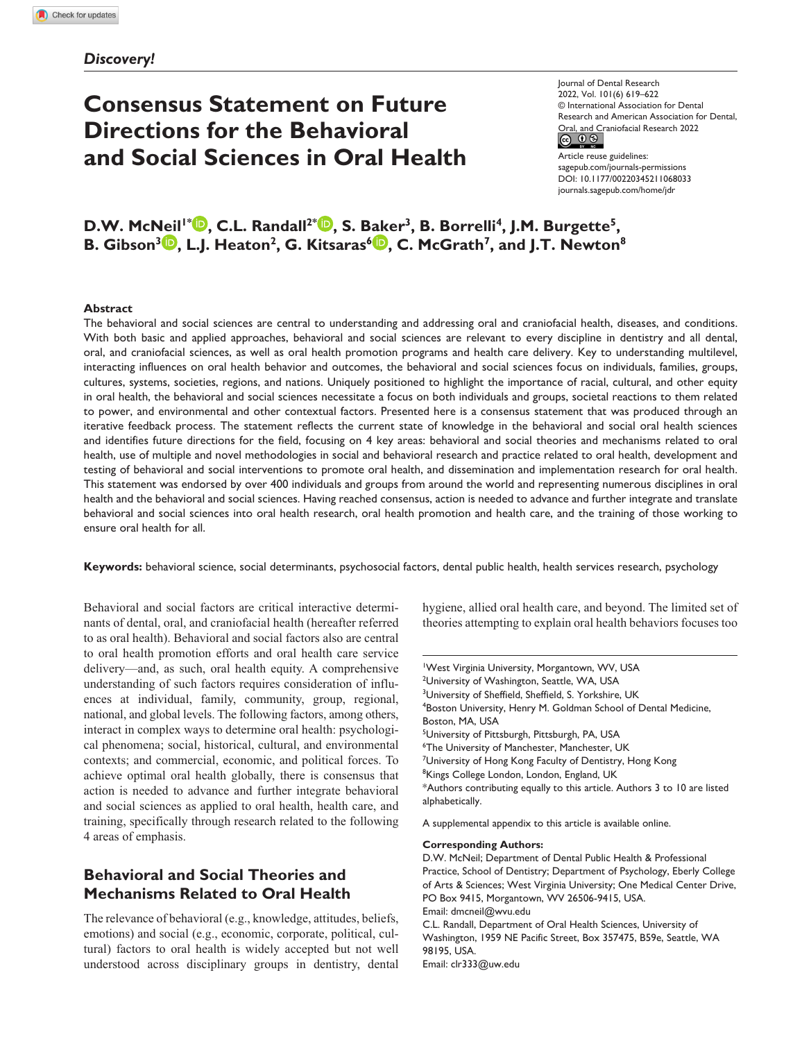### *Discovery!*

# **Consensus Statement on Future Directions for the Behavioral and Social Sciences in Oral Health**

Journal of Dental Research 2022, Vol. 101(6) 619–622 © International Association for Dental Research and American Association for Dental, Oral, and Craniofacial Research 2022<br>  $\begin{array}{c} \text{(c)} \ \text{(d)} \ \textcircled{9} \end{array}$ 

Article reuse guidelines: [sagepub.com/journals-permissions](https://us.sagepub.com/en-us/journals-permissions) DOI: 10.1177/00220345211068033 [journals.sagepub.com/home/jdr](https://journals.sagepub.com/home/jdr)

**D.W. McNeil<sup>1\*</sup><sup>D</sup>, C.L. Randall<sup>2\*</sup><sup>D</sup>, S. Baker<sup>3</sup>, B. Borrelli<sup>4</sup>, J.M. Burgette<sup>5</sup>, B. Gibson<sup>3</sup> <b>b**, L.J. Heaton<sup>2</sup>, G. Kitsaras<sup>6</sup> **b**, C. McGrath<sup>7</sup>, and J.T. Newton<sup>8</sup>

#### **Abstract**

The behavioral and social sciences are central to understanding and addressing oral and craniofacial health, diseases, and conditions. With both basic and applied approaches, behavioral and social sciences are relevant to every discipline in dentistry and all dental, oral, and craniofacial sciences, as well as oral health promotion programs and health care delivery. Key to understanding multilevel, interacting influences on oral health behavior and outcomes, the behavioral and social sciences focus on individuals, families, groups, cultures, systems, societies, regions, and nations. Uniquely positioned to highlight the importance of racial, cultural, and other equity in oral health, the behavioral and social sciences necessitate a focus on both individuals and groups, societal reactions to them related to power, and environmental and other contextual factors. Presented here is a consensus statement that was produced through an iterative feedback process. The statement reflects the current state of knowledge in the behavioral and social oral health sciences and identifies future directions for the field, focusing on 4 key areas: behavioral and social theories and mechanisms related to oral health, use of multiple and novel methodologies in social and behavioral research and practice related to oral health, development and testing of behavioral and social interventions to promote oral health, and dissemination and implementation research for oral health. This statement was endorsed by over 400 individuals and groups from around the world and representing numerous disciplines in oral health and the behavioral and social sciences. Having reached consensus, action is needed to advance and further integrate and translate behavioral and social sciences into oral health research, oral health promotion and health care, and the training of those working to ensure oral health for all.

**Keywords:** behavioral science, social determinants, psychosocial factors, dental public health, health services research, psychology

Behavioral and social factors are critical interactive determinants of dental, oral, and craniofacial health (hereafter referred to as oral health). Behavioral and social factors also are central to oral health promotion efforts and oral health care service delivery—and, as such, oral health equity. A comprehensive understanding of such factors requires consideration of influences at individual, family, community, group, regional, national, and global levels. The following factors, among others, interact in complex ways to determine oral health: psychological phenomena; social, historical, cultural, and environmental contexts; and commercial, economic, and political forces. To achieve optimal oral health globally, there is consensus that action is needed to advance and further integrate behavioral and social sciences as applied to oral health, health care, and training, specifically through research related to the following 4 areas of emphasis.

# **Behavioral and Social Theories and Mechanisms Related to Oral Health**

The relevance of behavioral (e.g., knowledge, attitudes, beliefs, emotions) and social (e.g., economic, corporate, political, cultural) factors to oral health is widely accepted but not well understood across disciplinary groups in dentistry, dental

hygiene, allied oral health care, and beyond. The limited set of theories attempting to explain oral health behaviors focuses too

1 West Virginia University, Morgantown, WV, USA <sup>2</sup>University of Washington, Seattle, WA, USA <sup>3</sup>University of Sheffield, Sheffield, S. Yorkshire, UK 4 Boston University, Henry M. Goldman School of Dental Medicine, Boston, MA, USA <sup>5</sup>University of Pittsburgh, Pittsburgh, PA, USA 6 The University of Manchester, Manchester, UK <sup>7</sup>University of Hong Kong Faculty of Dentistry, Hong Kong <sup>8</sup>Kings College London, London, England, UK \*Authors contributing equally to this article. Authors 3 to 10 are listed alphabetically.

A supplemental appendix to this article is available online.

**Corresponding Authors:**

D.W. McNeil; Department of Dental Public Health & Professional Practice, School of Dentistry; Department of Psychology, Eberly College of Arts & Sciences; West Virginia University; One Medical Center Drive, PO Box 9415, Morgantown, WV 26506-9415, USA. Email: dmcneil@wvu.edu C.L. Randall, Department of Oral Health Sciences, University of Washington, 1959 NE Pacific Street, Box 357475, B59e, Seattle, WA 98195, USA. Email: clr333@uw.edu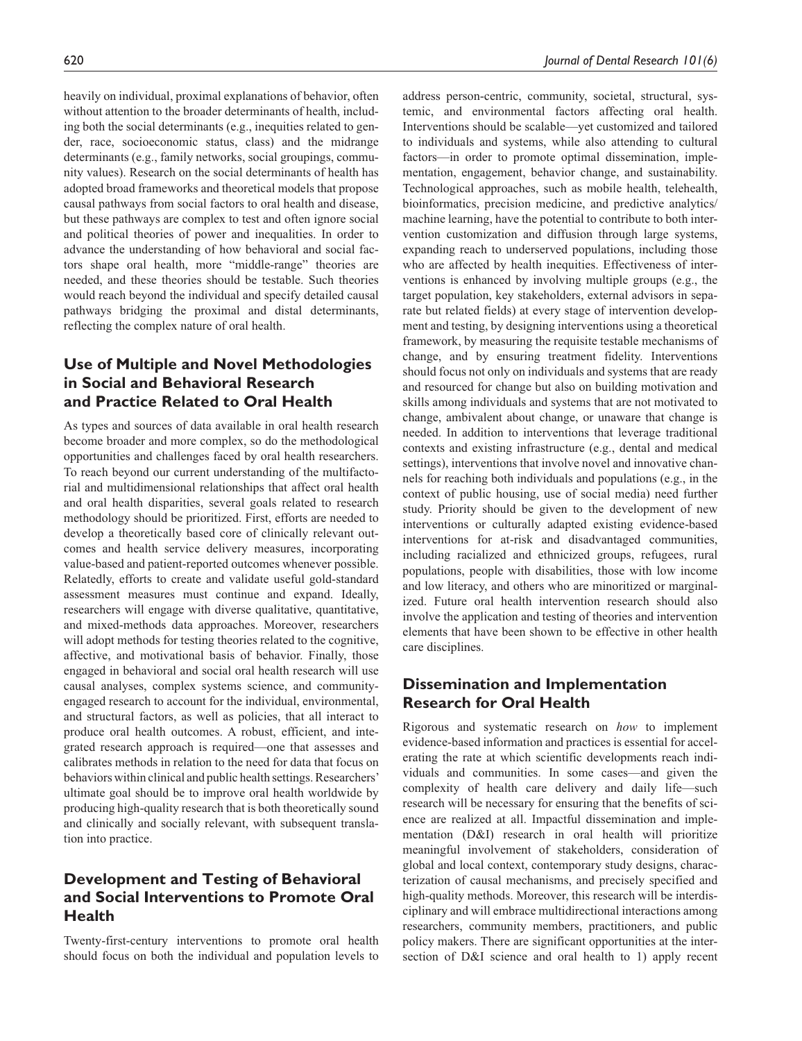heavily on individual, proximal explanations of behavior, often without attention to the broader determinants of health, including both the social determinants (e.g., inequities related to gender, race, socioeconomic status, class) and the midrange determinants (e.g., family networks, social groupings, community values). Research on the social determinants of health has adopted broad frameworks and theoretical models that propose causal pathways from social factors to oral health and disease, but these pathways are complex to test and often ignore social and political theories of power and inequalities. In order to advance the understanding of how behavioral and social factors shape oral health, more "middle-range" theories are needed, and these theories should be testable. Such theories would reach beyond the individual and specify detailed causal pathways bridging the proximal and distal determinants, reflecting the complex nature of oral health.

# **Use of Multiple and Novel Methodologies in Social and Behavioral Research and Practice Related to Oral Health**

As types and sources of data available in oral health research become broader and more complex, so do the methodological opportunities and challenges faced by oral health researchers. To reach beyond our current understanding of the multifactorial and multidimensional relationships that affect oral health and oral health disparities, several goals related to research methodology should be prioritized. First, efforts are needed to develop a theoretically based core of clinically relevant outcomes and health service delivery measures, incorporating value-based and patient-reported outcomes whenever possible. Relatedly, efforts to create and validate useful gold-standard assessment measures must continue and expand. Ideally, researchers will engage with diverse qualitative, quantitative, and mixed-methods data approaches. Moreover, researchers will adopt methods for testing theories related to the cognitive, affective, and motivational basis of behavior. Finally, those engaged in behavioral and social oral health research will use causal analyses, complex systems science, and communityengaged research to account for the individual, environmental, and structural factors, as well as policies, that all interact to produce oral health outcomes. A robust, efficient, and integrated research approach is required—one that assesses and calibrates methods in relation to the need for data that focus on behaviors within clinical and public health settings. Researchers' ultimate goal should be to improve oral health worldwide by producing high-quality research that is both theoretically sound and clinically and socially relevant, with subsequent translation into practice.

# **Development and Testing of Behavioral and Social Interventions to Promote Oral Health**

Twenty-first-century interventions to promote oral health should focus on both the individual and population levels to

address person-centric, community, societal, structural, systemic, and environmental factors affecting oral health. Interventions should be scalable—yet customized and tailored to individuals and systems, while also attending to cultural factors—in order to promote optimal dissemination, implementation, engagement, behavior change, and sustainability. Technological approaches, such as mobile health, telehealth, bioinformatics, precision medicine, and predictive analytics/ machine learning, have the potential to contribute to both intervention customization and diffusion through large systems, expanding reach to underserved populations, including those who are affected by health inequities. Effectiveness of interventions is enhanced by involving multiple groups (e.g., the target population, key stakeholders, external advisors in separate but related fields) at every stage of intervention development and testing, by designing interventions using a theoretical framework, by measuring the requisite testable mechanisms of change, and by ensuring treatment fidelity. Interventions should focus not only on individuals and systems that are ready and resourced for change but also on building motivation and skills among individuals and systems that are not motivated to change, ambivalent about change, or unaware that change is needed. In addition to interventions that leverage traditional contexts and existing infrastructure (e.g., dental and medical settings), interventions that involve novel and innovative channels for reaching both individuals and populations (e.g., in the context of public housing, use of social media) need further study. Priority should be given to the development of new interventions or culturally adapted existing evidence-based interventions for at-risk and disadvantaged communities, including racialized and ethnicized groups, refugees, rural populations, people with disabilities, those with low income and low literacy, and others who are minoritized or marginalized. Future oral health intervention research should also involve the application and testing of theories and intervention elements that have been shown to be effective in other health care disciplines.

# **Dissemination and Implementation Research for Oral Health**

Rigorous and systematic research on *how* to implement evidence-based information and practices is essential for accelerating the rate at which scientific developments reach individuals and communities. In some cases—and given the complexity of health care delivery and daily life—such research will be necessary for ensuring that the benefits of science are realized at all. Impactful dissemination and implementation (D&I) research in oral health will prioritize meaningful involvement of stakeholders, consideration of global and local context, contemporary study designs, characterization of causal mechanisms, and precisely specified and high-quality methods. Moreover, this research will be interdisciplinary and will embrace multidirectional interactions among researchers, community members, practitioners, and public policy makers. There are significant opportunities at the intersection of D&I science and oral health to 1) apply recent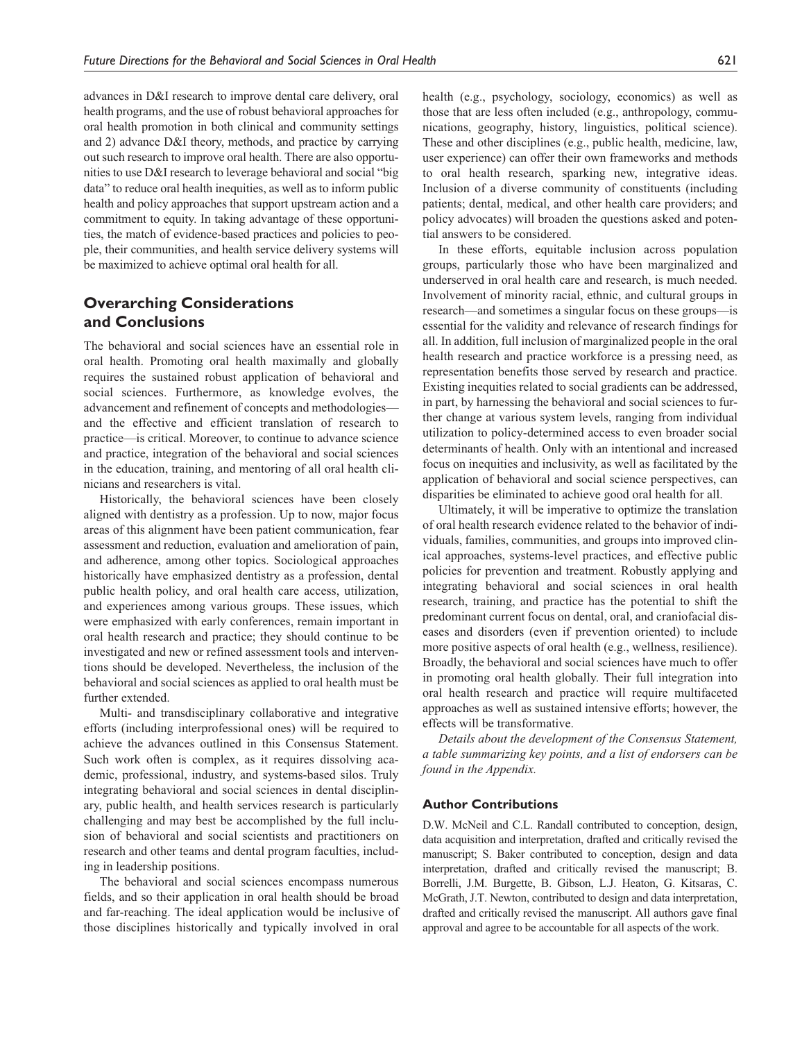advances in D&I research to improve dental care delivery, oral health programs, and the use of robust behavioral approaches for oral health promotion in both clinical and community settings and 2) advance D&I theory, methods, and practice by carrying out such research to improve oral health. There are also opportunities to use D&I research to leverage behavioral and social "big data" to reduce oral health inequities, as well as to inform public health and policy approaches that support upstream action and a commitment to equity. In taking advantage of these opportunities, the match of evidence-based practices and policies to people, their communities, and health service delivery systems will be maximized to achieve optimal oral health for all.

## **Overarching Considerations and Conclusions**

The behavioral and social sciences have an essential role in oral health. Promoting oral health maximally and globally requires the sustained robust application of behavioral and social sciences. Furthermore, as knowledge evolves, the advancement and refinement of concepts and methodologies and the effective and efficient translation of research to practice—is critical. Moreover, to continue to advance science and practice, integration of the behavioral and social sciences in the education, training, and mentoring of all oral health clinicians and researchers is vital.

Historically, the behavioral sciences have been closely aligned with dentistry as a profession. Up to now, major focus areas of this alignment have been patient communication, fear assessment and reduction, evaluation and amelioration of pain, and adherence, among other topics. Sociological approaches historically have emphasized dentistry as a profession, dental public health policy, and oral health care access, utilization, and experiences among various groups. These issues, which were emphasized with early conferences, remain important in oral health research and practice; they should continue to be investigated and new or refined assessment tools and interventions should be developed. Nevertheless, the inclusion of the behavioral and social sciences as applied to oral health must be further extended.

Multi- and transdisciplinary collaborative and integrative efforts (including interprofessional ones) will be required to achieve the advances outlined in this Consensus Statement. Such work often is complex, as it requires dissolving academic, professional, industry, and systems-based silos. Truly integrating behavioral and social sciences in dental disciplinary, public health, and health services research is particularly challenging and may best be accomplished by the full inclusion of behavioral and social scientists and practitioners on research and other teams and dental program faculties, including in leadership positions.

The behavioral and social sciences encompass numerous fields, and so their application in oral health should be broad and far-reaching. The ideal application would be inclusive of those disciplines historically and typically involved in oral

health (e.g., psychology, sociology, economics) as well as those that are less often included (e.g., anthropology, communications, geography, history, linguistics, political science). These and other disciplines (e.g., public health, medicine, law, user experience) can offer their own frameworks and methods to oral health research, sparking new, integrative ideas. Inclusion of a diverse community of constituents (including patients; dental, medical, and other health care providers; and policy advocates) will broaden the questions asked and potential answers to be considered.

In these efforts, equitable inclusion across population groups, particularly those who have been marginalized and underserved in oral health care and research, is much needed. Involvement of minority racial, ethnic, and cultural groups in research—and sometimes a singular focus on these groups—is essential for the validity and relevance of research findings for all. In addition, full inclusion of marginalized people in the oral health research and practice workforce is a pressing need, as representation benefits those served by research and practice. Existing inequities related to social gradients can be addressed, in part, by harnessing the behavioral and social sciences to further change at various system levels, ranging from individual utilization to policy-determined access to even broader social determinants of health. Only with an intentional and increased focus on inequities and inclusivity, as well as facilitated by the application of behavioral and social science perspectives, can disparities be eliminated to achieve good oral health for all.

Ultimately, it will be imperative to optimize the translation of oral health research evidence related to the behavior of individuals, families, communities, and groups into improved clinical approaches, systems-level practices, and effective public policies for prevention and treatment. Robustly applying and integrating behavioral and social sciences in oral health research, training, and practice has the potential to shift the predominant current focus on dental, oral, and craniofacial diseases and disorders (even if prevention oriented) to include more positive aspects of oral health (e.g., wellness, resilience). Broadly, the behavioral and social sciences have much to offer in promoting oral health globally. Their full integration into oral health research and practice will require multifaceted approaches as well as sustained intensive efforts; however, the effects will be transformative.

*Details about the development of the Consensus Statement, a table summarizing key points, and a list of endorsers can be found in the Appendix.*

#### **Author Contributions**

D.W. McNeil and C.L. Randall contributed to conception, design, data acquisition and interpretation, drafted and critically revised the manuscript; S. Baker contributed to conception, design and data interpretation, drafted and critically revised the manuscript; B. Borrelli, J.M. Burgette, B. Gibson, L.J. Heaton, G. Kitsaras, C. McGrath, J.T. Newton, contributed to design and data interpretation, drafted and critically revised the manuscript. All authors gave final approval and agree to be accountable for all aspects of the work.